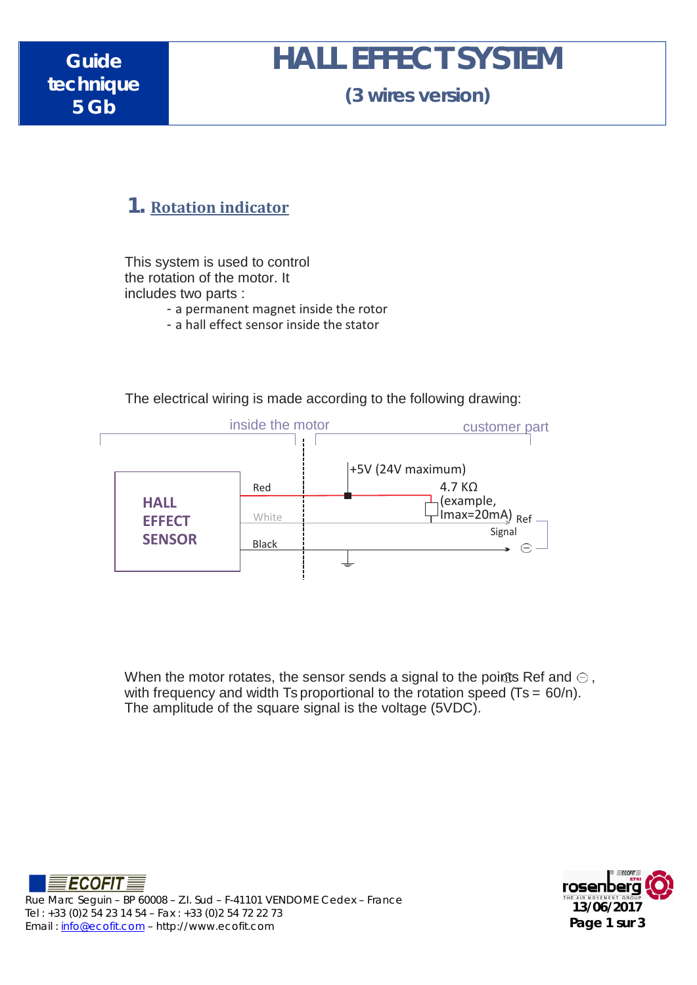# **HALL EFFECT SYSTEM**

**(3 wires version)**

#### **1. Rotation indicator**

This system is used to control the rotation of the motor. It includes two parts :

- a permanent magnet inside the rotor

- a hall effect sensor inside the stator



The electrical wiring is made according to the following drawing:

When the motor rotates, the sensor sends a signal to the points Ref and  $\ominus$ , with frequency and width Ts proportional to the rotation speed  $(Ts = 60/n)$ . The amplitude of the square signal is the voltage (5VDC).



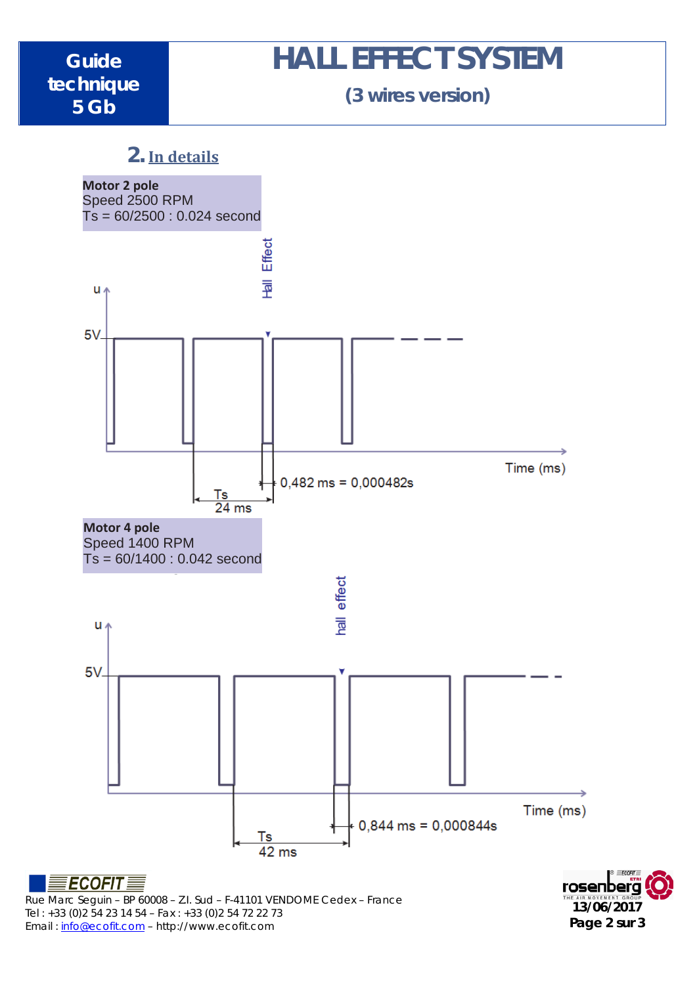# **HALL EFFECT SYSTEM**

**(3 wires version)**

### **2. In details**



Tel : +33 (0)2 54 23 14 54 – Fax : +33 (0)2 54 72 22 73 Email : [info@ecofit.com](mailto:info@ecofit.com) – http://www.ecofit.com